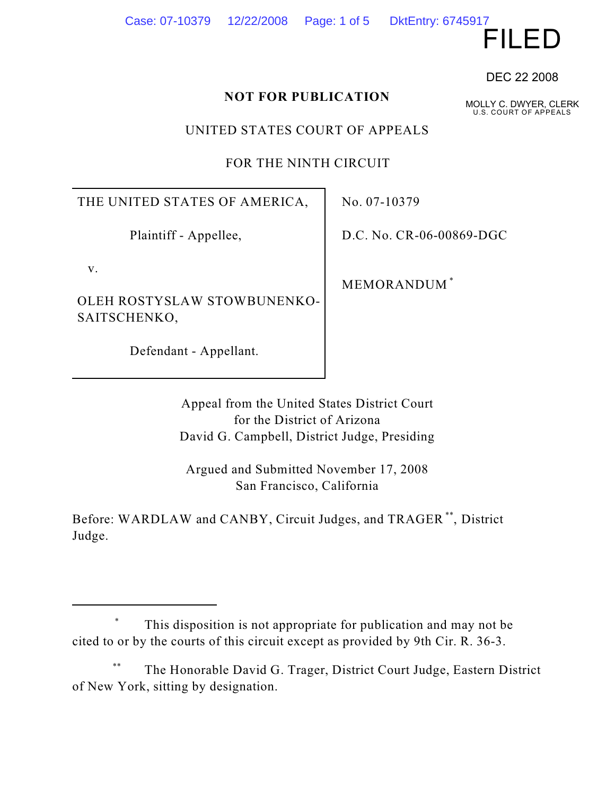#### Case: 07-10379 12/22/2008 Page: 1 of 5 DktEntry: 6745917

FILED

DEC 22 2008

MOLLY C. DWYER, CLERK U.S. COURT OF APPEALS

#### **NOT FOR PUBLICATION**

UNITED STATES COURT OF APPEALS

FOR THE NINTH CIRCUIT

THE UNITED STATES OF AMERICA,

Plaintiff - Appellee,

v.

OLEH ROSTYSLAW STOWBUNENKO-SAITSCHENKO,

Defendant - Appellant.

No. 07-10379

D.C. No. CR-06-00869-DGC

MEMORANDUM \*

Appeal from the United States District Court for the District of Arizona David G. Campbell, District Judge, Presiding

Argued and Submitted November 17, 2008 San Francisco, California

Before: WARDLAW and CANBY, Circuit Judges, and TRAGER<sup>\*\*</sup>, District Judge.

The Honorable David G. Trager, District Court Judge, Eastern District \*\* of New York, sitting by designation.

This disposition is not appropriate for publication and may not be \* cited to or by the courts of this circuit except as provided by 9th Cir. R. 36-3.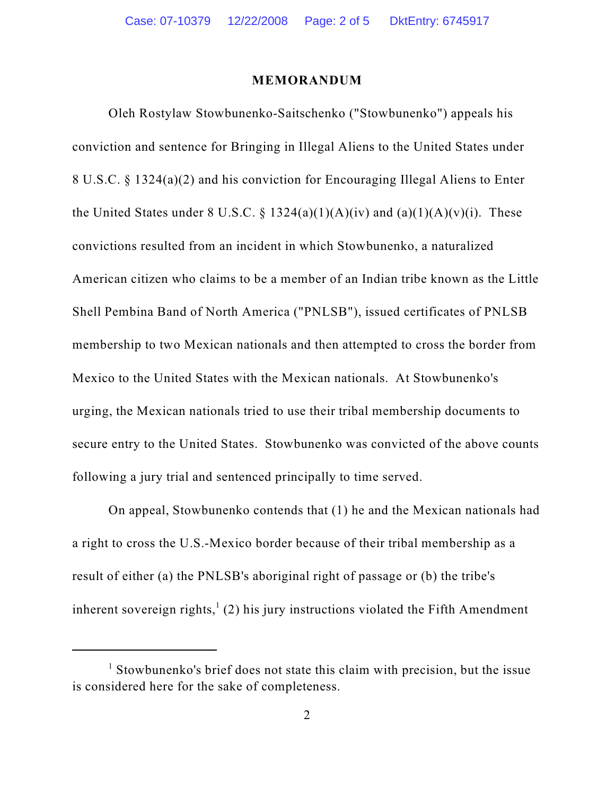#### **MEMORANDUM**

Oleh Rostylaw Stowbunenko-Saitschenko ("Stowbunenko") appeals his conviction and sentence for Bringing in Illegal Aliens to the United States under 8 U.S.C. § 1324(a)(2) and his conviction for Encouraging Illegal Aliens to Enter the United States under 8 U.S.C. § 1324(a)(1)(A)(iv) and (a)(1)(A)(v)(i). These convictions resulted from an incident in which Stowbunenko, a naturalized American citizen who claims to be a member of an Indian tribe known as the Little Shell Pembina Band of North America ("PNLSB"), issued certificates of PNLSB membership to two Mexican nationals and then attempted to cross the border from Mexico to the United States with the Mexican nationals. At Stowbunenko's urging, the Mexican nationals tried to use their tribal membership documents to secure entry to the United States. Stowbunenko was convicted of the above counts following a jury trial and sentenced principally to time served.

On appeal, Stowbunenko contends that (1) he and the Mexican nationals had a right to cross the U.S.-Mexico border because of their tribal membership as a result of either (a) the PNLSB's aboriginal right of passage or (b) the tribe's inherent sovereign rights,  $(2)$  his jury instructions violated the Fifth Amendment

 $<sup>1</sup>$  Stowbunenko's brief does not state this claim with precision, but the issue</sup> is considered here for the sake of completeness.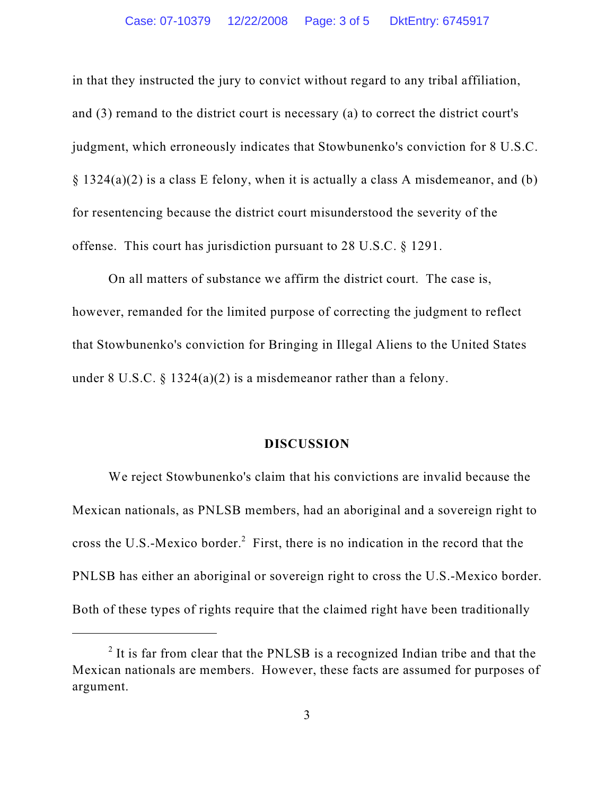in that they instructed the jury to convict without regard to any tribal affiliation, and (3) remand to the district court is necessary (a) to correct the district court's judgment, which erroneously indicates that Stowbunenko's conviction for 8 U.S.C.  $\S$  1324(a)(2) is a class E felony, when it is actually a class A misdemeanor, and (b) for resentencing because the district court misunderstood the severity of the offense. This court has jurisdiction pursuant to 28 U.S.C. § 1291.

On all matters of substance we affirm the district court. The case is, however, remanded for the limited purpose of correcting the judgment to reflect that Stowbunenko's conviction for Bringing in Illegal Aliens to the United States under 8 U.S.C. § 1324(a)(2) is a misdemeanor rather than a felony.

#### **DISCUSSION**

We reject Stowbunenko's claim that his convictions are invalid because the Mexican nationals, as PNLSB members, had an aboriginal and a sovereign right to cross the U.S.-Mexico border. $<sup>2</sup>$  First, there is no indication in the record that the</sup> PNLSB has either an aboriginal or sovereign right to cross the U.S.-Mexico border. Both of these types of rights require that the claimed right have been traditionally

 $<sup>2</sup>$  It is far from clear that the PNLSB is a recognized Indian tribe and that the</sup> Mexican nationals are members. However, these facts are assumed for purposes of argument.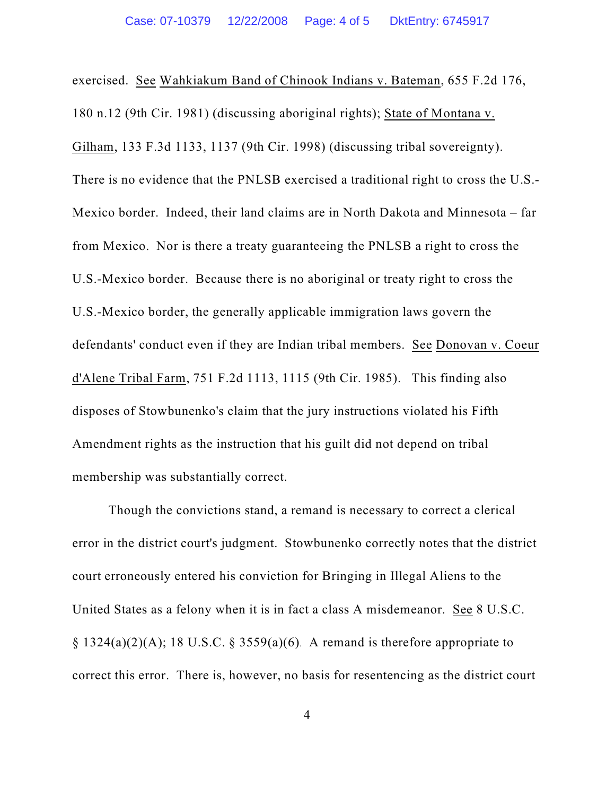exercised. See Wahkiakum Band of Chinook Indians v. Bateman, 655 F.2d 176, 180 n.12 (9th Cir. 1981) (discussing aboriginal rights); State of Montana v. Gilham, 133 F.3d 1133, 1137 (9th Cir. 1998) (discussing tribal sovereignty). There is no evidence that the PNLSB exercised a traditional right to cross the U.S.- Mexico border. Indeed, their land claims are in North Dakota and Minnesota – far from Mexico. Nor is there a treaty guaranteeing the PNLSB a right to cross the U.S.-Mexico border. Because there is no aboriginal or treaty right to cross the U.S.-Mexico border, the generally applicable immigration laws govern the defendants' conduct even if they are Indian tribal members. See Donovan v. Coeur d'Alene Tribal Farm, 751 F.2d 1113, 1115 (9th Cir. 1985). This finding also disposes of Stowbunenko's claim that the jury instructions violated his Fifth Amendment rights as the instruction that his guilt did not depend on tribal membership was substantially correct.

Though the convictions stand, a remand is necessary to correct a clerical error in the district court's judgment. Stowbunenko correctly notes that the district court erroneously entered his conviction for Bringing in Illegal Aliens to the United States as a felony when it is in fact a class A misdemeanor. See 8 U.S.C.  $\S$  1324(a)(2)(A); 18 U.S.C.  $\S$  3559(a)(6). A remand is therefore appropriate to correct this error. There is, however, no basis for resentencing as the district court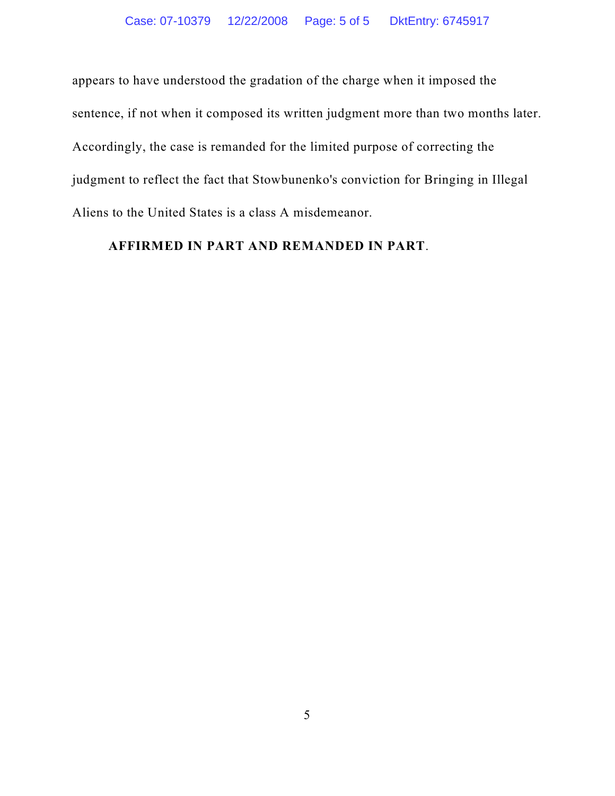appears to have understood the gradation of the charge when it imposed the sentence, if not when it composed its written judgment more than two months later. Accordingly, the case is remanded for the limited purpose of correcting the judgment to reflect the fact that Stowbunenko's conviction for Bringing in Illegal Aliens to the United States is a class A misdemeanor.

#### **AFFIRMED IN PART AND REMANDED IN PART**.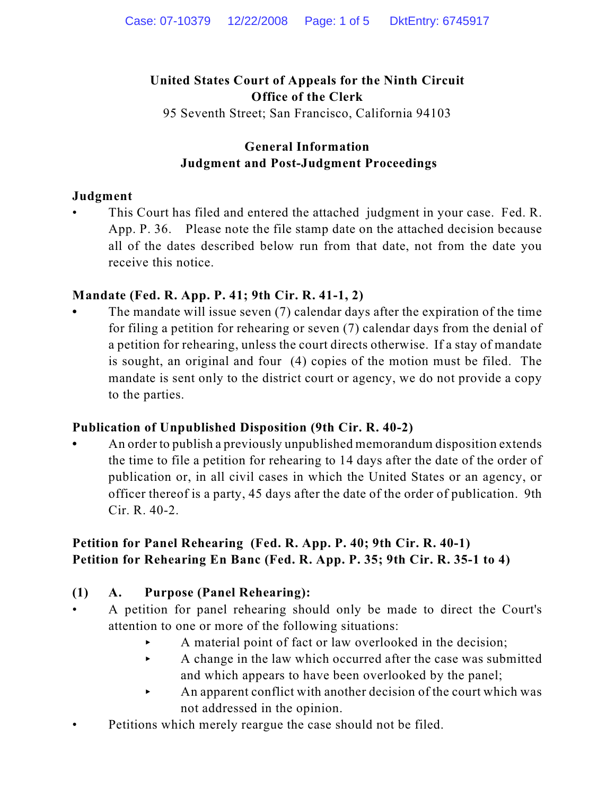## **United States Court of Appeals for the Ninth Circuit Office of the Clerk**

95 Seventh Street; San Francisco, California 94103

## **General Information Judgment and Post-Judgment Proceedings**

### **Judgment**

This Court has filed and entered the attached judgment in your case. Fed. R. App. P. 36. Please note the file stamp date on the attached decision because all of the dates described below run from that date, not from the date you receive this notice.

## **Mandate (Fed. R. App. P. 41; 9th Cir. R. 41-1, 2)**

**•** The mandate will issue seven (7) calendar days after the expiration of the time for filing a petition for rehearing or seven (7) calendar days from the denial of a petition for rehearing, unless the court directs otherwise. If a stay of mandate is sought, an original and four (4) copies of the motion must be filed. The mandate is sent only to the district court or agency, we do not provide a copy to the parties.

## **Publication of Unpublished Disposition (9th Cir. R. 40-2)**

**•** An order to publish a previously unpublished memorandum disposition extends the time to file a petition for rehearing to 14 days after the date of the order of publication or, in all civil cases in which the United States or an agency, or officer thereof is a party, 45 days after the date of the order of publication. 9th Cir. R. 40-2.

## **Petition for Panel Rehearing (Fed. R. App. P. 40; 9th Cir. R. 40-1) Petition for Rehearing En Banc (Fed. R. App. P. 35; 9th Cir. R. 35-1 to 4)**

## **(1) A. Purpose (Panel Rehearing):**

- A petition for panel rehearing should only be made to direct the Court's attention to one or more of the following situations:
	- < A material point of fact or law overlooked in the decision;
	- $\blacktriangleright$  A change in the law which occurred after the case was submitted and which appears to have been overlooked by the panel;
	- < An apparent conflict with another decision of the court which was not addressed in the opinion.
- Petitions which merely reargue the case should not be filed.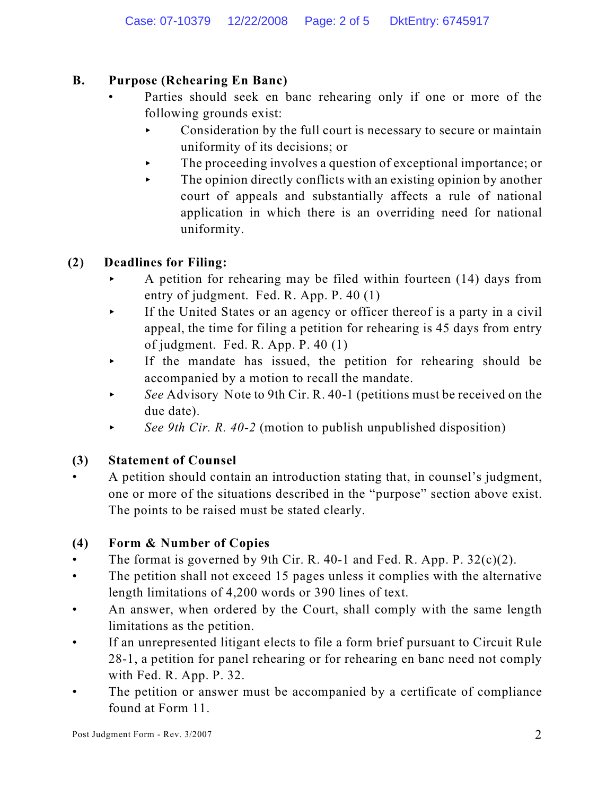## **B. Purpose (Rehearing En Banc)**

- Parties should seek en banc rehearing only if one or more of the following grounds exist:
	- $\triangleright$  Consideration by the full court is necessary to secure or maintain uniformity of its decisions; or
	- < The proceeding involves a question of exceptional importance; or
	- $\blacktriangleright$  The opinion directly conflicts with an existing opinion by another court of appeals and substantially affects a rule of national application in which there is an overriding need for national uniformity.

# **(2) Deadlines for Filing:**

- < A petition for rehearing may be filed within fourteen (14) days from entry of judgment. Fed. R. App. P. 40 (1)
- $\triangleright$  If the United States or an agency or officer thereof is a party in a civil appeal, the time for filing a petition for rehearing is 45 days from entry of judgment. Fed. R. App. P. 40 (1)
- < If the mandate has issued, the petition for rehearing should be accompanied by a motion to recall the mandate.
- See Advisory Note to 9th Cir. R. 40-1 (petitions must be received on the due date).
- $\triangleright$  *See 9th Cir. R. 40-2* (motion to publish unpublished disposition)

# **(3) Statement of Counsel**

• A petition should contain an introduction stating that, in counsel's judgment, one or more of the situations described in the "purpose" section above exist. The points to be raised must be stated clearly.

# **(4) Form & Number of Copies**

- The format is governed by 9th Cir. R. 40-1 and Fed. R. App. P.  $32(c)(2)$ .
- The petition shall not exceed 15 pages unless it complies with the alternative length limitations of 4,200 words or 390 lines of text.
- An answer, when ordered by the Court, shall comply with the same length limitations as the petition.
- If an unrepresented litigant elects to file a form brief pursuant to Circuit Rule 28-1, a petition for panel rehearing or for rehearing en banc need not comply with Fed. R. App. P. 32.
- The petition or answer must be accompanied by a certificate of compliance found at Form 11.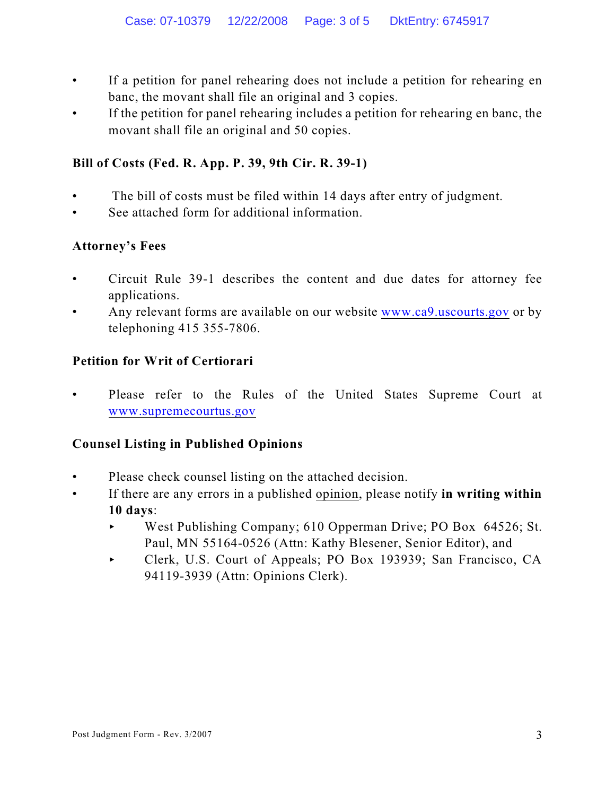- If a petition for panel rehearing does not include a petition for rehearing en banc, the movant shall file an original and 3 copies.
- If the petition for panel rehearing includes a petition for rehearing en banc, the movant shall file an original and 50 copies.

## **Bill of Costs (Fed. R. App. P. 39, 9th Cir. R. 39-1)**

- The bill of costs must be filed within 14 days after entry of judgment.
- See attached form for additional information.

### **Attorney's Fees**

- Circuit Rule 39-1 describes the content and due dates for attorney fee applications.
- Any relevant forms are available on our website [www.ca9.uscourts.gov](http://www.ca9.uscourts.gov) or by telephoning 415 355-7806.

### **Petition for Writ of Certiorari**

Please refer to the Rules of the United States Supreme Court at [www.supremecourtus.gov](http://www.supremecourtus.gov)

#### **Counsel Listing in Published Opinions**

- Please check counsel listing on the attached decision.
- If there are any errors in a published opinion, please notify **in writing within 10 days**:
	- < West Publishing Company; 610 Opperman Drive; PO Box 64526; St. Paul, MN 55164-0526 (Attn: Kathy Blesener, Senior Editor), and
	- < Clerk, U.S. Court of Appeals; PO Box 193939; San Francisco, CA 94119-3939 (Attn: Opinions Clerk).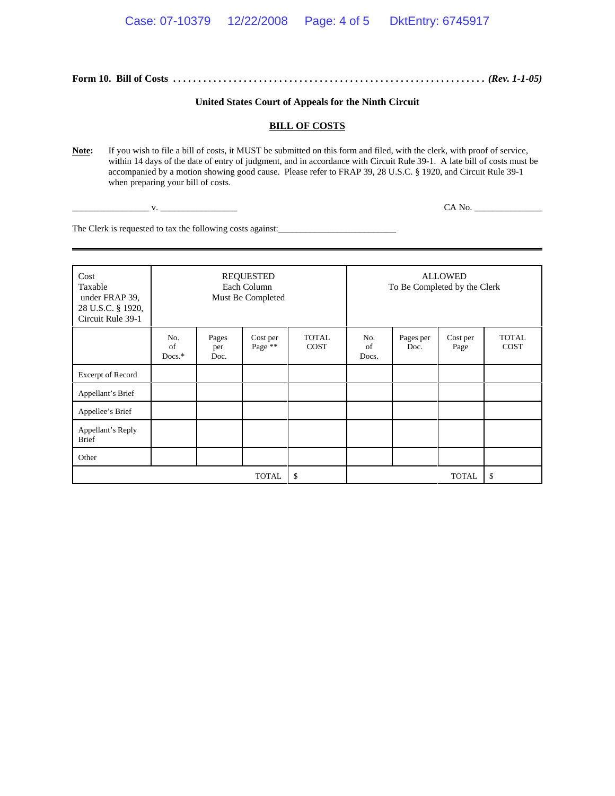**Form 10. Bill of Costs** *. . . . . . . . . . . . . . . . . . . . . . . . . . . . . . . . . . . . . . . . . . . . . . . . . . . . . . . . . . . . . . (Rev. 1-1-05)*

#### **United States Court of Appeals for the Ninth Circuit**

#### **BILL OF COSTS**

Note: If you wish to file a bill of costs, it MUST be submitted on this form and filed, with the clerk, with proof of service, within 14 days of the date of entry of judgment, and in accordance with Circuit Rule 39-1. A late bill of costs must be accompanied by a motion showing good cause. Please refer to FRAP 39, 28 U.S.C. § 1920, and Circuit Rule 39-1 when preparing your bill of costs.

\_\_\_\_\_\_\_\_\_\_\_\_\_\_\_\_\_ v. \_\_\_\_\_\_\_\_\_\_\_\_\_\_\_\_\_ CA No. \_\_\_\_\_\_\_\_\_\_\_\_\_\_\_

The Clerk is requested to tax the following costs against:\_\_\_\_\_\_\_\_\_\_\_\_\_\_\_\_\_\_\_\_\_\_\_

| Cost<br>Taxable<br>under FRAP 39,<br>28 U.S.C. § 1920,<br>Circuit Rule 39-1 | <b>REQUESTED</b><br>Each Column<br>Must Be Completed |                      |                     |                             | <b>ALLOWED</b><br>To Be Completed by the Clerk |                   |                  |                             |
|-----------------------------------------------------------------------------|------------------------------------------------------|----------------------|---------------------|-----------------------------|------------------------------------------------|-------------------|------------------|-----------------------------|
|                                                                             | No.<br>of<br>Docs.*                                  | Pages<br>per<br>Doc. | Cost per<br>Page ** | <b>TOTAL</b><br><b>COST</b> | No.<br>of<br>Docs.                             | Pages per<br>Doc. | Cost per<br>Page | <b>TOTAL</b><br><b>COST</b> |
| Excerpt of Record                                                           |                                                      |                      |                     |                             |                                                |                   |                  |                             |
| Appellant's Brief                                                           |                                                      |                      |                     |                             |                                                |                   |                  |                             |
| Appellee's Brief                                                            |                                                      |                      |                     |                             |                                                |                   |                  |                             |
| Appellant's Reply<br><b>Brief</b>                                           |                                                      |                      |                     |                             |                                                |                   |                  |                             |
| Other                                                                       |                                                      |                      |                     |                             |                                                |                   |                  |                             |
|                                                                             | \$                                                   | <b>TOTAL</b>         |                     |                             | $\mathbb{S}$                                   |                   |                  |                             |